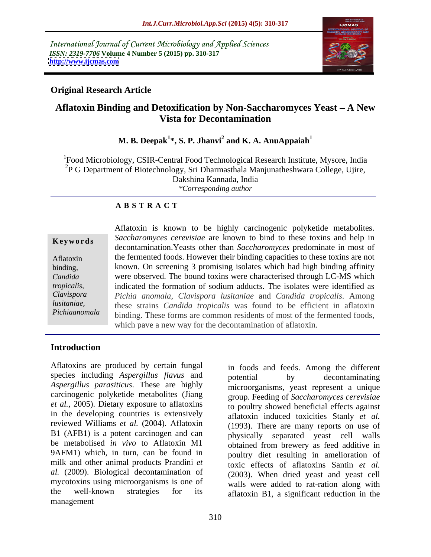International Journal of Current Microbiology and Applied Sciences *ISSN: 2319-7706* **Volume 4 Number 5 (2015) pp. 310-317 <http://www.ijcmas.com>**



## **Original Research Article**

## Aflatoxin Binding and Detoxification by Non-Saccharomyces Yeast – A New **Vista for Decontamination**

### **M. B. Deepak<sup>1</sup> \*, S. P. Jhanvi<sup>2</sup> and K. A. AnuAppaiah<sup>1</sup>**

<sup>1</sup>Food Microbiology, CSIR-Central Food Technological Research Institute, Mysore, India  ${}^{2}P$  G Department of Biotechnology, Sri Dharmasthala Manjunatheshwara College, Ujire, Dakshina Kannada, India *\*Corresponding author*

### **A B S T R A C T**

Aflatoxin is known to be highly carcinogenic polyketide metabolites. **Keywords** Saccharomyces cerevisiae are known to bind to these toxins and help in decontamination.Yeasts other than *Saccharomyces* predominate in most of Aflatoxin the fermented foods. However their binding capacities to these toxins are not known. On screening 3 promising isolates which had high binding affinity binding, Candida **Exercise Were observed.** The bound toxins were characterised through LC-MS which indicated the formation of sodium adducts. The isolates were identified as *tropicalis, Pichia anomala*, *Clavispora lusitaniae* and *Candida tropicalis*. Among *Clavispora* these strains *Candida tropicalis* was found to be efficient in aflatoxin *lusitaniae,*  binding. These forms are common residents of most of the fermented foods, which pave a new way for the decontamination of aflatoxin. *Pichiaanomala*

### **Introduction**

Aflatoxins are produced by certain fungal species including *Aspergillus flavus* and potential by decontaminating *Aspergillus parasiticus*. These are highly carcinogenic polyketide metabolites (Jiang *et al.,* 2005). Dietary exposure to aflatoxins in the developing countries is extensively reviewed Williams *et al.* (2004). Aflatoxin B1 (AFB1) is a potent carcinogen and can be metabolised *in vivo* to Aflatoxin M1 obtained from brewery as feed additive in 9AFM1) which, in turn, can be found in milk and other animal products Prandini *et al.* (2009). Biological decontamination of mycotoxins using microorganisms is one of<br>the well-known strategies for its the well-known strategies for its aflatoxin B1, a significant reduction in the management and the state of the state of the state of the state of the state of the state of the state of the state of the state of the state of the state of the state of the state of the state of the state of the state of

in foods and feeds. Among the different potential by decontaminating microorganisms, yeast represent a unique group. Feeding of *Saccharomyces cerevisiae* to poultry showed beneficial effects against aflatoxin induced toxicities Stanly *et al.* (1993). There are many reports on use of physically separated yeast cell walls poultry diet resulting in amelioration of toxic effects of aflatoxins Santin et al. (2003). When dried yeast and yeast cell walls were added to rat-ration along with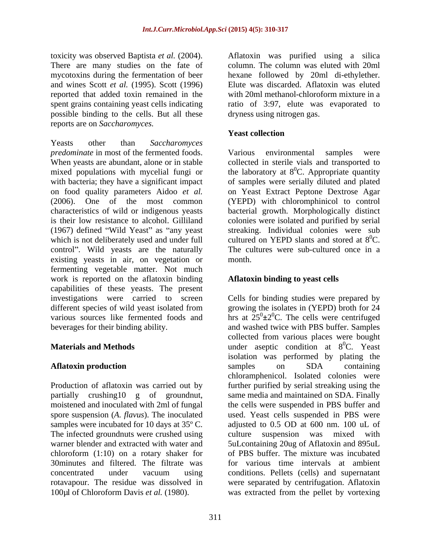toxicity was observed Baptista *et al.* (2004). There are many studies on the fate of column. The column was eluted with 20ml mycotoxins during the fermentation of beer hexane followed by 20ml di-ethylether. and wines Scott *et al.* (1995). Scott (1996) Elute was discarded. Aflatoxin was eluted reported that added toxin remained in the spent grains containing yeast cells indicating ratio of 3:97, elute was evaporated to possible binding to the cells. But all these reports are on *Saccharomyces.*

Yeasts other than *Saccharomyces predominate* in most of the fermented foods. Various environmental samples were When yeasts are abundant, alone or in stable mixed populations with mycelial fungi or the laboratory at  $8^0C$ . Appropriate quantity with bacteria; they have a significant impact of samples were serially diluted and plated on food quality parameters Aidoo *et al.* (2006). One of the most common (YEPD) with chloromphinicol to control characteristics of wild or indigenous yeasts bacterial growth. Morphologically distinct is their low resistance to alcohol. Gilliland colonies were isolated and purified by serial  $(1967)$  defined "Wild Yeast" as "any yeast" which is not deliberately used and under full control". Wild yeasts are the naturally existing yeasts in air, on vegetation or fermenting vegetable matter. Not much work is reported on the aflatoxin binding capabilities of these yeasts. The present investigations were carried to screen Cells for binding studies were prepared by different species of wild yeast isolated from various sources like fermented foods and beverages for their binding ability. and washed twice with PBS buffer. Samples

The infected groundnuts were crushed using a culture suspension was mixed with 30minutes and filtered. The filtrate was rotavapour. The residue was dissolved in

with 20ml methanol-chloroform mixture in a dryness using nitrogen gas.

### **Yeast collection**

Various environmental samples were collected in sterile vials and transported to on Yeast Extract Peptone Dextrose Agar streaking. Individual colonies were sub cultured on YEPD slants and stored at  $8^0C$ .  ${}^{0}C.$ The cultures were sub-cultured once in a month.

### **Aflatoxin binding to yeast cells**

**Materials and Methods Example 20** and **under** aseptic condition at 8<sup>°</sup>C. Yeast Aflatoxin production **and SET and SET ACCES** on SDA containing Production of aflatoxin was carried out by further purified by serial streaking using the partially crushing10 g of groundnut, same media and maintained on SDA. Finally moistened and inoculated with 2ml of fungal the cells were suspended in PBS buffer and spore suspension (*A. flavus*). The inoculated used. Yeast cells suspended in PBS were samples were incubated for 10 days at 35° C. <br>adjusted to 0.5 OD at 600 nm. 100 uL of warner blender and extracted with water and 5uLcontaining 20ug of Aflatoxin and 895uL chloroform (1:10) on a rotary shaker for of PBS buffer. The mixture was incubated concentrated under vacuum using conditions. Pellets (cells) and supernatant toricity was observed Rapista real. COM). A Aflatoxin was purified using a silical paper and the mean start of the mean collowed by 20ml of the<br>ship and the channel and the channel of Chloroid and the ship and the silicati growing the isolates in (YEPD) broth for 24 hrs at  $25^{\circ} \pm 2^{\circ}$ C. The cells were centrifuged collected from various places were bought <sup>0</sup>C. Yeast isolation was performed by plating the samples on SDA containing chloramphenicol. Isolated colonies were culture suspension was mixed with for various time intervals at ambient were separated by centrifugation. Aflatoxin was extracted from the pellet by vortexing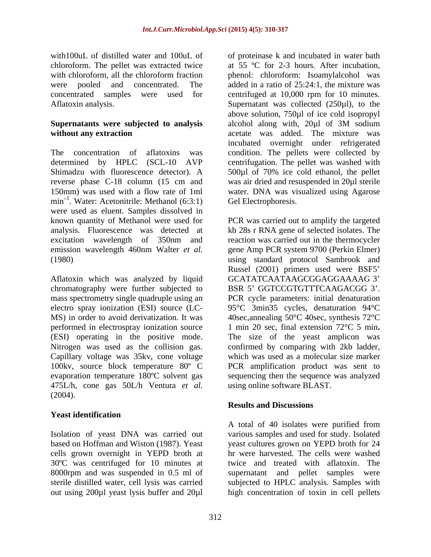# **Supernatants were subjected to analysis**

reverse phase C-18 column (15 cm and min<sup>-1</sup>. Water: Acetonitrile: Methanol (6:3:1) Gel Electrophoresis. were used as eluent. Samples dissolved in

Aflatoxin which was analyzed by liquid chromatography were further subjected to MS) in order to avoid derivatization. It was Nitrogen was used as the collision gas. Capillary voltage was 35kv, cone voltage 100kv, source block temperature 80º C 475L/h, cone gas 50L/h Ventura *et al.* (2004).

## **Yeast identification**

cells grown overnight in YEPD broth at 30ºC was centrifuged for 10 minutes at out using 200µl yeast lysis buffer and 20µl high concentration of toxin in cell pellets

with100uL of distilled water and 100uL of of proteinase k and incubated in water bath chloroform. The pellet was extracted twice at 55 ºC for 2-3 hours. After incubation, with chloroform, all the chloroform fraction phenol: chloroform: Isoamylalcohol was were pooled and concentrated. The added in a ratio of 25:24:1, the mixture was concentrated samples were used for centrifuged at 10,000 rpm for 10 minutes. Aflatoxin analysis. Supernatant was collected (250µl), to the without any extraction **acetate** was added. The mixture was The concentration of aflatoxins was condition. The pellets were collected by determined by HPLC (SCL-10 AVP centrifugation. The pellet was washed with Shimadzu with fluorescence detector). A 500µl of 70% ice cold ethanol, the pellet 150mm) was used with a flow rate of 1ml water. DNA was visualized using Agarose above solution, 750µl of ice cold isopropyl alcohol along with, 20µl of 3M sodium incubated overnight under refrigerated was air dried and resuspended in 20µl sterile Gel Electrophoresis.

known quantity of Methanol were used for PCR was carried out to amplify the targeted analysis. Fluorescence was detected at kb 28s r RNA gene of selected isolates. The excitation wavelength of 350nm and reaction was carried out in the thermocycler emission wavelength 460nm Walter *et al.* gene Amp PCR system 9700 (Perkin Elmer) (1980) using standard protocol Sambrook and mass spectrometry single quadruple using an PCR cycle parameters: initial denaturation electro spray ionization (ESI) source (LC- 95°C 3min35 cycles, denaturation 94°C performed in electrospray ionization source 1 min 20 sec, final extension 72°C 5 min**.** (ESI) operating in the positive mode. The size of the yeast amplicon was evaporation temperature 180°C solvent gas sequencing then the sequence was analyzed Russel (2001) primers used were BSF5 GCATATCAATAAGCGGAGGAAAAG 3 BSR 5' GGTCCGTGTTTCAAGACGG 3'. 40sec,annealing 50°C 40sec, synthesis 72°C confirmed by comparing with 2kb ladder, which was used as a molecular size marker PCR amplification product was sent to using online software BLAST.

### **Results and Discussions**

Isolation of yeast DNA was carried out various samples and used for study. Isolated based on Hoffman and Wiston (1987). Yeast yeast cultures grown on YEPD broth for 24 8000rpm and was suspended in 0.5 ml of supernatant and pellet samples were sterile distilled water, cell lysis was carried subjected to HPLC analysis. Samples with A total of 40 isolates were purified from hr were harvested. The cells were washed twice and treated with aflatoxin. The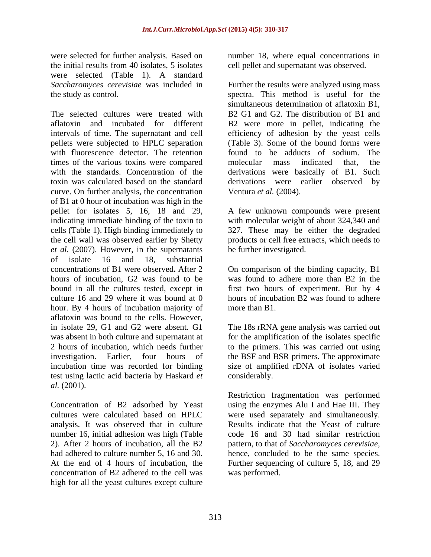were selected for further analysis. Based on number 18, where equal concentrations in the initial results from 40 isolates, 5 isolates were selected (Table 1). A standard

The selected cultures were treated with B2 G1 and G2. The distribution of B1 and aflatoxin and incubated for different B2 were more in pellet, indicating the intervals of time. The supernatant and cell efficiency of adhesion by the yeast cells pellets were subjected to HPLC separation with fluorescence detector. The retention times of the various toxins were compared molecular mass indicated that, the with the standards. Concentration of the derivations were basically of B1. Such toxin was calculated based on the standard derivations were earlier observed by curve. On further analysis, the concentration Ventura et al. (2004). of B1 at 0 hour of incubation was high in the pellet for isolates 5, 16, 18 and 29, A few unknown compounds were present indicating immediate binding of the toxin to with molecular weight of about 324,340 and cells (Table 1). High binding immediately to 327. These may be either the degraded the cell wall was observed earlier by Shetty products or cell free extracts, which needs to *et al.* (2007). However, in the supernatants of isolate 16 and 18, substantial concentrations of B1 were observed**.** After 2 On comparison of the binding capacity, B1 hours of incubation, G2 was found to be was found to adhere more than B2 in the bound in all the cultures tested, except in first two hours of experiment. But by 4 culture 16 and 29 where it was bound at 0 hours of incubation B2 was found to adhere hour. By 4 hours of incubation majority of more than B1. aflatoxin was bound to the cells. However, in isolate 29, G1 and G2 were absent. G1 The 18s rRNA gene analysis was carried out was absent in both culture and supernatant at for the amplification of the isolates specific 2 hours of incubation, which needs further to the primers. This was carried out using investigation. Earlier, four hours of the BSF and BSR primers. The approximate incubation time was recorded for binding size of amplified rDNA of isolates varied test using lactic acid bacteria by Haskard *et al.* (2001).

analysis. It was observed that in culture number 16, initial adhesion was high (Table concentration of B2 adhered to the cell was high for all the yeast cultures except culture cell pellet and supernatant was observed.

*Saccharomyces cerevisiae* was included in Further the results were analyzed using mass the study as control. spectra. This method is useful for the simultaneous determination of aflatoxin B1, (Table 3). Some of the bound forms were found to be adducts of sodium. The molecular mass indicated that, the Ventura *et al.* (2004).

be further investigated.

more than B1.

considerably.

Concentration of B2 adsorbed by Yeast using the enzymes Alu I and Hae III. They cultures were calculated based on HPLC were used separately and simultaneously. 2). After 2 hours of incubation, all the B2 pattern, to that of *Saccharomyces cerevisiae,* had adhered to culture number 5, 16 and 30. hence, concluded to be the same species. At the end of 4 hours of incubation, the Further sequencing of culture 5, 18, and 29 Restriction fragmentation was performed Results indicate that the Yeast of culture code 16 and 30 had similar restriction was performed.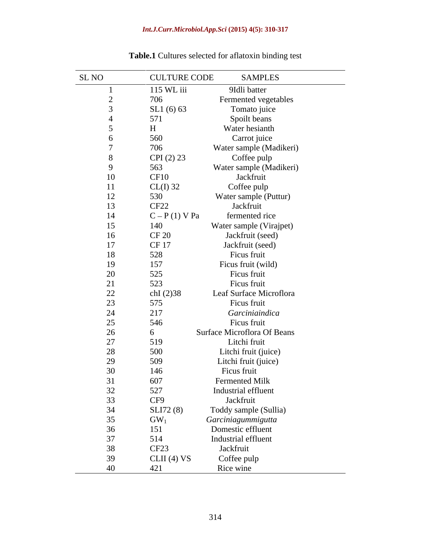### *Int.J.Curr.Microbiol.App.Sci* **(2015) 4(5): 310-317**

| SL NO     | <b>CULTURE CODE</b> | <b>SAMPLES</b>              |
|-----------|---------------------|-----------------------------|
|           | 115 WL iii          | 9Idli batter                |
| $\bigcap$ | 706                 | Fermented vegetables        |
|           | SL1 (6) 63          | Tomato juice                |
|           | 571                 | Spoilt beans                |
|           | H                   | Water hesianth              |
|           | 560                 | Carrot juice                |
|           | 706                 | Water sample (Madikeri)     |
| 8         | CPI (2) 23          | Coffee pulp                 |
| 9         | 563                 | Water sample (Madikeri)     |
| 10        | CF10                | Jackfruit                   |
| 11        | $CL(I)$ 32          | Coffee pulp                 |
| 12        | 530                 | Water sample (Puttur)       |
| 13        | CF <sub>22</sub>    | Jackfruit                   |
| 14        | $C - P(1) V Pa$     | fermented rice              |
| 15        | 140                 | Water sample (Virajpet)     |
| $16\,$    | <b>CF 20</b>        | Jackfruit (seed)            |
| 17        | CF 17               | Jackfruit (seed)            |
| $18\,$    | 528                 | Ficus fruit                 |
| 19        | 157                 | Ficus fruit (wild)          |
| 20        | 525                 | Ficus fruit                 |
| 21        | 523                 | Ficus fruit                 |
| $22\,$    | chI (2)38           | Leaf Surface Microflora     |
| 23        | 575                 | Ficus fruit                 |
| 24        | 217                 | Garciniaindica              |
| 25        | 546                 | Ficus fruit                 |
| $26\,$    | 6                   | Surface Microflora Of Beans |
| 27        | 519                 | Litchi fruit                |
| $28\,$    | 500                 | Litchi fruit (juice)        |
| 29        | 509                 | Litchi fruit (juice)        |
| 30        | 146                 | Ficus fruit                 |
| 31        | 607                 | Fermented Milk              |
| 32        | 527                 | Industrial effluent         |
| 33        | CF9                 | Jackfruit                   |
| 34        | SLI72 (8)           | Toddy sample (Sullia)       |
| $35\,$    | $GW_1$              | Garciniagummigutta          |
| $36\,$    | 151                 | Domestic effluent           |
| 37        | 514                 | Industrial effluent         |
| $38\,$    | CF <sub>23</sub>    | Jackfruit                   |
| 39        | CLII(4) VS          | Coffee pulp                 |
| 40        | 421                 | Rice wine                   |

## **Table.1** Cultures selected for aflatoxin binding test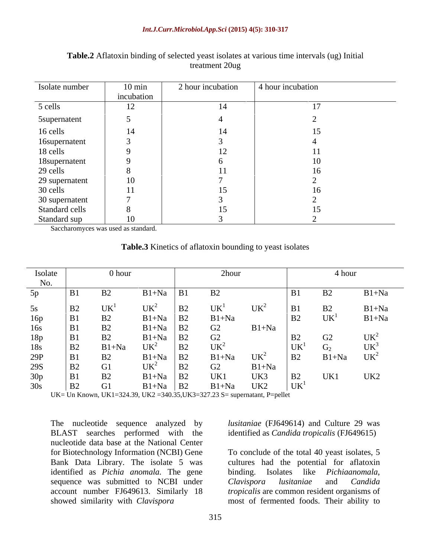| Isolate number       | $10 \text{ min}$ | 2 hour incubation | 4 hour incubation |
|----------------------|------------------|-------------------|-------------------|
|                      | incubation       |                   |                   |
| 5 cells              | 12               | $\overline{14}$   |                   |
| <b>5</b> supernatent |                  |                   |                   |
| 16 cells             | 14               |                   |                   |
| 16supernatent        |                  |                   |                   |
| 18 cells             |                  |                   |                   |
| 18supernatent        |                  |                   |                   |
| 29 cells             |                  |                   |                   |
| 29 supernatent       | 10               |                   |                   |
| 30 cells             |                  |                   |                   |
| 30 supernatent       |                  |                   |                   |
| Standard cells       |                  |                   |                   |
| Standard sup         | 10               |                   |                   |

### **Table.2** Aflatoxin binding of selected yeast isolates at various time intervals (ug) Initial treatment 20ug

Saccharomyces was used as standard.

| Table.3 K <sup>2</sup><br>of aflatoxin bounding to yeast isolates<br>Kinetic |
|------------------------------------------------------------------------------|
|------------------------------------------------------------------------------|

| Isolate                  |                | 0 hour         |                                                 |                                                                       | 2hour               |                 |                              | 4 hour          |                    |
|--------------------------|----------------|----------------|-------------------------------------------------|-----------------------------------------------------------------------|---------------------|-----------------|------------------------------|-----------------|--------------------|
| No.                      |                |                |                                                 |                                                                       |                     |                 |                              |                 |                    |
| 5p                       | B <sub>1</sub> | B <sub>2</sub> | $B1+Na$                                         | B1                                                                    | B2                  |                 | B <sub>1</sub>               | B <sub>2</sub>  | $B1+Na$            |
| 5s                       | B2             | UK             | $UK2$<br>$B1+Na$<br>$B1+Na$<br>$UK2$<br>$B1+Na$ | <b>B2</b>                                                             | UK <sup>1</sup>     | UK <sup>2</sup> | B1                           | B2              | $B1+Na$<br>$B1+Na$ |
| 16p<br>16s<br>18p<br>18s | B1             |                |                                                 | $\begin{array}{c} \n\text{B2} \\ \text{B2} \\ \text{B2}\n\end{array}$ | $B1+Na$<br>G2<br>G2 |                 | B2                           | UK <sup>1</sup> |                    |
|                          | B1             | B2<br>B2<br>B2 |                                                 |                                                                       |                     | $B1+Na$         |                              |                 |                    |
|                          | B1             |                |                                                 |                                                                       |                     |                 | B2                           | G2              | UK <sup>2</sup>    |
|                          | B2             | $B1+Na$        |                                                 | B2                                                                    |                     |                 | <b>IIV</b><br>$\overline{U}$ | $G_2$           | UK <sup>3</sup>    |
|                          | B1             | B2             |                                                 | <b>B2</b>                                                             | $UK2$<br>B1+Na      | UK <sup>2</sup> | B2                           | $B1+Na$         | UK <sup>2</sup>    |
| $rac{29P}{29S}$          | B2             | G1             | UK <sup>2</sup>                                 | B2                                                                    | G2                  | $B1+Na$         |                              |                 |                    |
| $\frac{30p}{30s}$        | B1             | B2             | $B1+Na$                                         | B2                                                                    | UK1                 | UK3             | B2                           | UK1             | UK2                |
|                          | B2             | G1             | $B1+Na$                                         | B2                                                                    | $B1+Na$             | UK2             | UK <sup>1</sup>              |                 |                    |

UK= Un Known, UK1=324.39, UK2 =340.35,UK3=327.23 S= supernatant, P=pellet

The nucleotide sequence analyzed by BLAST searches performed with the nucleotide data base at the National Center for Biotechnology Information (NCBI) Gene To conclude of the total 40 yeast isolates, 5 Bank Data Library. The isolate 5 was cultures had the potential for aflatoxin identified as *Pichia anomala*. The gene binding. Isolates like *Pichiaanomala*, sequence was submitted to NCBI under Clavispora lusitaniae and Candida account number FJ649613. Similarly 18 *tropicalis* are common resident organisms of

*lusitaniae* (FJ649614) and Culture 29 was identified as *Candida tropicalis* (FJ649615)

showed similarity with *Clavispora* most of fermented foods. Their ability to binding. Isolates like *Pichiaanomala*, *Clavispora lusitaniae* and *Candida*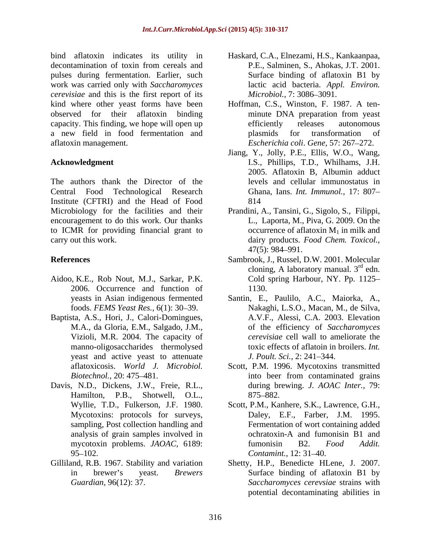bind aflatoxin indicates its utility in Haskard, C.A., Elnezami, H.S., Kankaanpaa, decontamination of toxin from cereals and P.E., Salminen, S., Ahokas, J.T. 2001. pulses during fermentation. Earlier, such work was carried only with *Saccharomyces cerevisiae* and this is the first report of its kind where other yeast forms have been Hoffman, C.S., Winston, F. 1987. A ten observed for their aflatoxin binding capacity. This finding, we hope will open up efficiently releases autonomous a new field in food fermentation and aflatoxin management. *Escherichia coli*. *Gene,* 57: 267 272.

The authors thank the Director of the Central Food Technological Research Ghana, Ians. *Int. Immunol.,* 17: 807 Institute (CFTRI) and the Head of Food Microbiology for the facilities and their Prandini, A., Tansini, G., Sigolo, S., Filippi, encouragement to do this work. Our thanks L., Laporta, M., Piva, G. 2009. On the encouragement to do this work. Our thanks L., Laporta, M., Piva, G. 2009. On the to ICMR for providing financial grant to

- Aidoo, K.E., Rob Nout, M.J., Sarkar, P.K. 2006. Occurrence and function of
- Baptista, A.S., Hori, J., Calori-Domingues, manno-oligosaccharides thermolysed yeast and active yeast to attenuate *J. Poult. Sci.*, 2: 241–344.
- Davis, N.D., Dickens, J.W., Freie, R.L., Hamilton, P.B., Shotwell, O.L., 875–882.
- Gilliland, R.B. 1967. Stability and variation
- P.E., Salminen, S., Ahokas, J.T. 2001. Surface binding of aflatoxin B1 by lactic acid bacteria. *Appl. Environ. Microbiol., 7:* 3086–3091.
- minute DNA preparation from yeast efficiently releases autonomous plasmids for transformation of
- **Acknowledgment**  I.S., Phillips, T.D., Whilhams, J.H. Jiang, Y., Jolly, P.E., Ellis, W.O., Wang, 2005. Aflatoxin B, Albumin adduct levels and cellular immunostatus in 814
- carry out this work. dairy products. *Food Chem. Toxicol.,* occurrence of aflatoxin  $M_1$  in milk and 47(5): 984 991.
- **References** Sambrook, J., Russel, D.W. 2001. Molecular cloning, A laboratory manual.  $3<sup>rd</sup>$  edn.  $rd_{\text{adm}}$ edn. Cold spring Harbour, NY. Pp. 1125 1130.
	- yeasts in Asian indigenous fermented Santin, E., Paulilo, A.C., Maiorka, A., foods. *FEMS Yeast Res.*, 6(1): 30–39. Nakaghi, L.S.O., Macan, M., de Silva, M.A., da Gloria, E.M., Salgado, J.M., of the efficiency of *Saccharomyces* Vizioli, M.R. 2004. The capacity of *cerevisiae* cell wall to ameliorate the A.V.F., Alessi, C.A. 2003. Elevation toxic effects of aflatoin in broilers. *Int. J. Poult. Sci., 2: 241–344.*
	- aflatoxicosis. *World J. Microbiol. Biotechnol.,* 20: 475 481. Scott, P.M. 1996. Mycotoxins transmitted into beer from contaminated grains during brewing. *J. AOAC Inter.,* 79: 875–882.
	- Wyllie, T.D., Fulkerson, J.F. 1980. Scott, P.M., Kanhere, S.K., Lawrence, G.H., Mycotoxins: protocols for surveys, Daley, E.F., Farber, J.M. 1995. sampling, Post collection handling and Fermentation of wort containing added analysis of grain samples involved in ochratoxin-A and fumonisin B1 and mycotoxin problems. *JAOAC,* 6189: 95–102. Contamint., 12: 31–40. ochratoxin-A and fumonisin B1 and fumonisin B2. *Food Addit. Contamint.,* 12: 31–40.
	- in brewer's yeast. *Brewers* Surface binding of aflatoxin B1 by *Guardian,* 96(12): 37. *Saccharomyces cerevsiae* strains with Shetty, H.P., Benedicte HLene, J. 2007. potential decontaminating abilities in